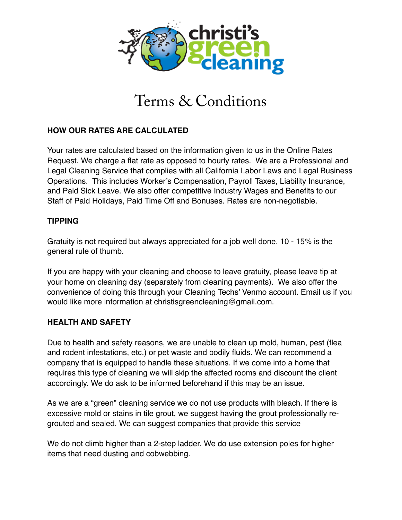

# Terms & Conditions

# **HOW OUR RATES ARE CALCULATED**

Your rates are calculated based on the information given to us in the Online Rates Request. We charge a flat rate as opposed to hourly rates. We are a Professional and Legal Cleaning Service that complies with all California Labor Laws and Legal Business Operations. This includes Worker's Compensation, Payroll Taxes, Liability Insurance, and Paid Sick Leave. We also offer competitive Industry Wages and Benefits to our Staff of Paid Holidays, Paid Time Off and Bonuses. Rates are non-negotiable.

## **TIPPING**

Gratuity is not required but always appreciated for a job well done. 10 - 15% is the general rule of thumb.

If you are happy with your cleaning and choose to leave gratuity, please leave tip at your home on cleaning day (separately from cleaning payments). We also offer the convenience of doing this through your Cleaning Techs' Venmo account. Email us if you would like more information at christisgreencleaning@gmail.com.

# **HEALTH AND SAFETY**

Due to health and safety reasons, we are unable to clean up mold, human, pest (flea and rodent infestations, etc.) or pet waste and bodily fluids. We can recommend a company that is equipped to handle these situations. If we come into a home that requires this type of cleaning we will skip the affected rooms and discount the client accordingly. We do ask to be informed beforehand if this may be an issue.

As we are a "green" cleaning service we do not use products with bleach. If there is excessive mold or stains in tile grout, we suggest having the grout professionally regrouted and sealed. We can suggest companies that provide this service

We do not climb higher than a 2-step ladder. We do use extension poles for higher items that need dusting and cobwebbing.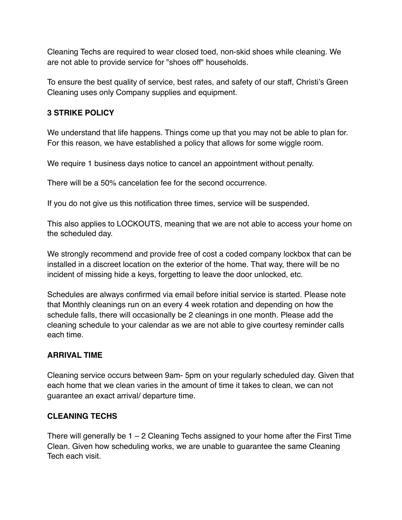Cleaning Techs are required to wear closed toed, non-skid shoes while cleaning. We are not able to provide service for "shoes off" households.

To ensure the best quality of service, best rates, and safety of our staff, Christi's Green Cleaning uses only Company supplies and equipment.

## **3 STRIKE POLICY**

We understand that life happens. Things come up that you may not be able to plan for. For this reason, we have established a policy that allows for some wiggle room.

We require 1 business days notice to cancel an appointment without penalty.

There will be a 50% cancelation fee for the second occurrence.

If you do not give us this notification three times, service will be suspended.

This also applies to LOCKOUTS, meaning that we are not able to access your home on the scheduled day.

We strongly recommend and provide free of cost a coded company lockbox that can be installed in a discreet location on the exterior of the home. That way, there will be no incident of missing hide a keys, forgetting to leave the door unlocked, etc.

Schedules are always confirmed via email before initial service is started. Please note that Monthly cleanings run on an every 4 week rotation and depending on how the schedule falls, there will occasionally be 2 cleanings in one month. Please add the cleaning schedule to your calendar as we are not able to give courtesy reminder calls each time.

# **ARRIVAL TIME**

Cleaning service occurs between 9am- 5pm on your regularly scheduled day. Given that each home that we clean varies in the amount of time it takes to clean, we can not guarantee an exact arrival/ departure time.

# **CLEANING TECHS**

There will generally be 1 – 2 Cleaning Techs assigned to your home after the First Time Clean. Given how scheduling works, we are unable to guarantee the same Cleaning Tech each visit.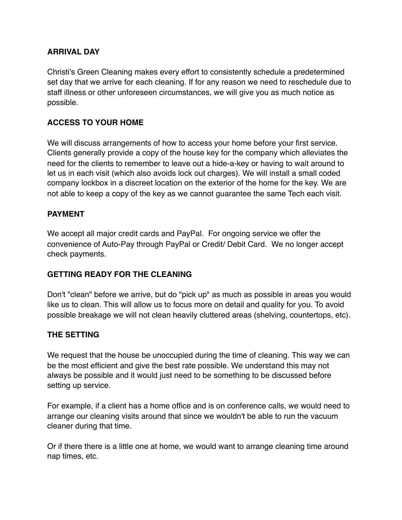## **ARRIVAL DAY**

Christi's Green Cleaning makes every effort to consistently schedule a predetermined set day that we arrive for each cleaning. If for any reason we need to reschedule due to staff illness or other unforeseen circumstances, we will give you as much notice as possible.

## **ACCESS TO YOUR HOME**

We will discuss arrangements of how to access your home before your first service. Clients generally provide a copy of the house key for the company which alleviates the need for the clients to remember to leave out a hide-a-key or having to wait around to let us in each visit (which also avoids lock out charges). We will install a small coded company lockbox in a discreet location on the exterior of the home for the key. We are not able to keep a copy of the key as we cannot guarantee the same Tech each visit.

#### **PAYMENT**

We accept all major credit cards and PayPal. For ongoing service we offer the convenience of Auto-Pay through PayPal or Credit/ Debit Card. We no longer accept check payments.

## **GETTING READY FOR THE CLEANING**

Don't "clean" before we arrive, but do "pick up" as much as possible in areas you would like us to clean. This will allow us to focus more on detail and quality for you. To avoid possible breakage we will not clean heavily cluttered areas (shelving, countertops, etc).

#### **THE SETTING**

We request that the house be unoccupied during the time of cleaning. This way we can be the most efficient and give the best rate possible. We understand this may not always be possible and it would just need to be something to be discussed before setting up service.

For example, if a client has a home office and is on conference calls, we would need to arrange our cleaning visits around that since we wouldn't be able to run the vacuum cleaner during that time.

Or if there there is a little one at home, we would want to arrange cleaning time around nap times, etc.